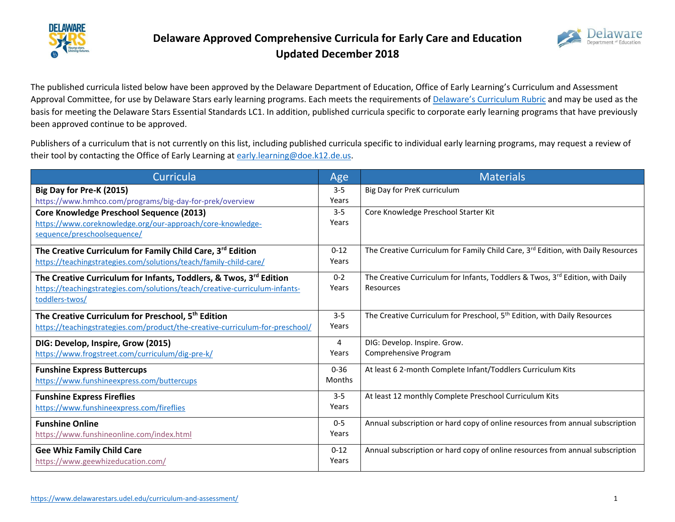



The published curricula listed below have been approved by the Delaware Department of Education, Office of Early Learning's Curriculum and Assessment Approval Committee, for use by Delaware Stars early learning programs. Each meets the requirements of Delaware['s Curriculum Rubric](https://www.delawarestars.udel.edu/wp-content/uploads/2018/10/Curriculum-Rubric-4-14.pdf) and may be used as the basis for meeting the Delaware Stars Essential Standards LC1. In addition, published curricula specific to corporate early learning programs that have previously been approved continue to be approved.

Publishers of a curriculum that is not currently on this list, including published curricula specific to individual early learning programs, may request a review of their tool by contacting the Office of Early Learning at [early.learning@doe.k12.de.us.](mailto:early.learning@doe.k12.de.us)

| Curricula                                                                                                                                                           | Age                       | <b>Materials</b>                                                                           |
|---------------------------------------------------------------------------------------------------------------------------------------------------------------------|---------------------------|--------------------------------------------------------------------------------------------|
| Big Day for Pre-K (2015)<br>https://www.hmhco.com/programs/big-day-for-prek/overview                                                                                | $3 - 5$<br>Years          | Big Day for PreK curriculum                                                                |
| <b>Core Knowledge Preschool Sequence (2013)</b><br>https://www.coreknowledge.org/our-approach/core-knowledge-<br>sequence/preschoolsequence/                        | $3 - 5$<br>Years          | Core Knowledge Preschool Starter Kit                                                       |
| The Creative Curriculum for Family Child Care, 3rd Edition<br>https://teachingstrategies.com/solutions/teach/family-child-care/                                     | $0 - 12$<br>Years         | The Creative Curriculum for Family Child Care, 3rd Edition, with Daily Resources           |
| The Creative Curriculum for Infants, Toddlers, & Twos, 3rd Edition<br>https://teachingstrategies.com/solutions/teach/creative-curriculum-infants-<br>toddlers-twos/ | $0 - 2$<br>Years          | The Creative Curriculum for Infants, Toddlers & Twos, 3rd Edition, with Daily<br>Resources |
| The Creative Curriculum for Preschool, 5 <sup>th</sup> Edition<br>https://teachingstrategies.com/product/the-creative-curriculum-for-preschool/                     | $3 - 5$<br>Years          | The Creative Curriculum for Preschool, 5 <sup>th</sup> Edition, with Daily Resources       |
| DIG: Develop, Inspire, Grow (2015)<br>https://www.frogstreet.com/curriculum/dig-pre-k/                                                                              | 4<br>Years                | DIG: Develop. Inspire. Grow.<br>Comprehensive Program                                      |
| <b>Funshine Express Buttercups</b><br>https://www.funshineexpress.com/buttercups                                                                                    | $0 - 36$<br><b>Months</b> | At least 6 2-month Complete Infant/Toddlers Curriculum Kits                                |
| <b>Funshine Express Fireflies</b><br>https://www.funshineexpress.com/fireflies                                                                                      | $3 - 5$<br>Years          | At least 12 monthly Complete Preschool Curriculum Kits                                     |
| <b>Funshine Online</b><br>https://www.funshineonline.com/index.html                                                                                                 | $0-5$<br>Years            | Annual subscription or hard copy of online resources from annual subscription              |
| <b>Gee Whiz Family Child Care</b><br>https://www.geewhizeducation.com/                                                                                              | $0 - 12$<br>Years         | Annual subscription or hard copy of online resources from annual subscription              |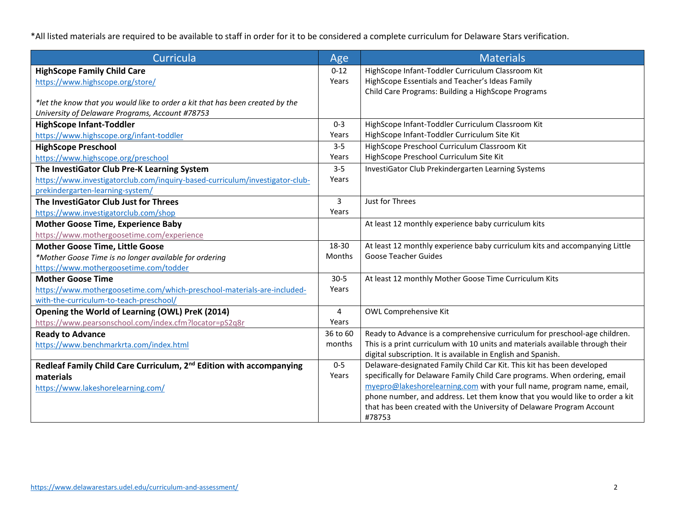\*All listed materials are required to be available to staff in order for it to be considered a complete curriculum for Delaware Stars verification.

| Curricula                                                                       | Age          | <b>Materials</b>                                                               |
|---------------------------------------------------------------------------------|--------------|--------------------------------------------------------------------------------|
| <b>HighScope Family Child Care</b>                                              | $0 - 12$     | HighScope Infant-Toddler Curriculum Classroom Kit                              |
| https://www.highscope.org/store/                                                | Years        | HighScope Essentials and Teacher's Ideas Family                                |
|                                                                                 |              | Child Care Programs: Building a HighScope Programs                             |
| *let the know that you would like to order a kit that has been created by the   |              |                                                                                |
| University of Delaware Programs, Account #78753                                 |              |                                                                                |
| <b>HighScope Infant-Toddler</b>                                                 | $0 - 3$      | HighScope Infant-Toddler Curriculum Classroom Kit                              |
| https://www.highscope.org/infant-toddler                                        | Years        | HighScope Infant-Toddler Curriculum Site Kit                                   |
| <b>HighScope Preschool</b>                                                      | $3 - 5$      | HighScope Preschool Curriculum Classroom Kit                                   |
| https://www.highscope.org/preschool                                             | Years        | HighScope Preschool Curriculum Site Kit                                        |
| The InvestiGator Club Pre-K Learning System                                     | $3 - 5$      | InvestiGator Club Prekindergarten Learning Systems                             |
| https://www.investigatorclub.com/inquiry-based-curriculum/investigator-club-    | Years        |                                                                                |
| prekindergarten-learning-system/                                                |              |                                                                                |
| The InvestiGator Club Just for Threes                                           | $\mathbf{3}$ | Just for Threes                                                                |
| https://www.investigatorclub.com/shop                                           | Years        |                                                                                |
| <b>Mother Goose Time, Experience Baby</b>                                       |              | At least 12 monthly experience baby curriculum kits                            |
| https://www.mothergoosetime.com/experience                                      |              |                                                                                |
| <b>Mother Goose Time, Little Goose</b>                                          | 18-30        | At least 12 monthly experience baby curriculum kits and accompanying Little    |
| *Mother Goose Time is no longer available for ordering                          | Months       | <b>Goose Teacher Guides</b>                                                    |
| https://www.mothergoosetime.com/todder                                          |              |                                                                                |
| <b>Mother Goose Time</b>                                                        | $30 - 5$     | At least 12 monthly Mother Goose Time Curriculum Kits                          |
| https://www.mothergoosetime.com/which-preschool-materials-are-included-         | Years        |                                                                                |
| with-the-curriculum-to-teach-preschool/                                         |              |                                                                                |
| Opening the World of Learning (OWL) PreK (2014)                                 | 4            | OWL Comprehensive Kit                                                          |
| https://www.pearsonschool.com/index.cfm?locator=pS2q8r                          | Years        |                                                                                |
| <b>Ready to Advance</b>                                                         | 36 to 60     | Ready to Advance is a comprehensive curriculum for preschool-age children.     |
| https://www.benchmarkrta.com/index.html                                         | months       | This is a print curriculum with 10 units and materials available through their |
|                                                                                 |              | digital subscription. It is available in English and Spanish.                  |
| Redleaf Family Child Care Curriculum, 2 <sup>nd</sup> Edition with accompanying | $0-5$        | Delaware-designated Family Child Car Kit. This kit has been developed          |
| materials                                                                       | Years        | specifically for Delaware Family Child Care programs. When ordering, email     |
| https://www.lakeshorelearning.com/                                              |              | myepro@lakeshorelearning.com with your full name, program name, email,         |
|                                                                                 |              | phone number, and address. Let them know that you would like to order a kit    |
|                                                                                 |              | that has been created with the University of Delaware Program Account          |
|                                                                                 |              | #78753                                                                         |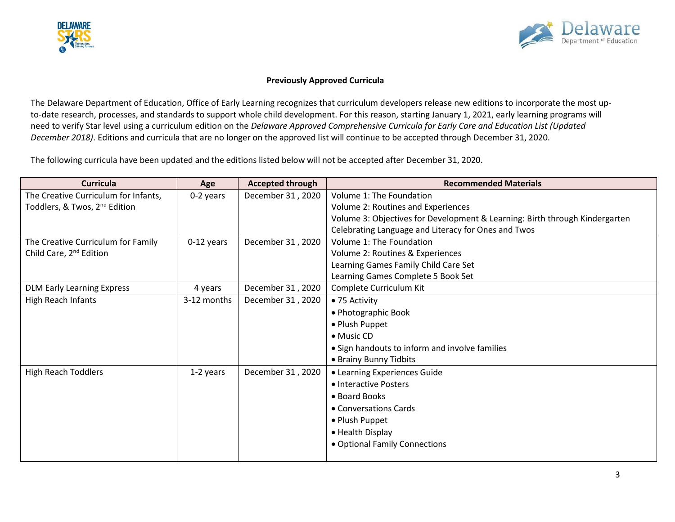



## **Previously Approved Curricula**

The Delaware Department of Education, Office of Early Learning recognizes that curriculum developers release new editions to incorporate the most upto-date research, processes, and standards to support whole child development. For this reason, starting January 1, 2021, early learning programs will need to verify Star level using a curriculum edition on the *Delaware Approved Comprehensive Curricula for Early Care and Education List (Updated December 2018)*. Editions and curricula that are no longer on the approved list will continue to be accepted through December 31, 2020.

The following curricula have been updated and the editions listed below will not be accepted after December 31, 2020.

| <b>Curricula</b>                          | Age         | <b>Accepted through</b> | <b>Recommended Materials</b>                                                |
|-------------------------------------------|-------------|-------------------------|-----------------------------------------------------------------------------|
| The Creative Curriculum for Infants,      | 0-2 years   | December 31, 2020       | Volume 1: The Foundation                                                    |
| Toddlers, & Twos, 2 <sup>nd</sup> Edition |             |                         | Volume 2: Routines and Experiences                                          |
|                                           |             |                         | Volume 3: Objectives for Development & Learning: Birth through Kindergarten |
|                                           |             |                         | Celebrating Language and Literacy for Ones and Twos                         |
| The Creative Curriculum for Family        | 0-12 years  | December 31, 2020       | Volume 1: The Foundation                                                    |
| Child Care, 2 <sup>nd</sup> Edition       |             |                         | Volume 2: Routines & Experiences                                            |
|                                           |             |                         | Learning Games Family Child Care Set                                        |
|                                           |             |                         | Learning Games Complete 5 Book Set                                          |
| <b>DLM Early Learning Express</b>         | 4 years     | December 31, 2020       | Complete Curriculum Kit                                                     |
| High Reach Infants                        | 3-12 months | December 31, 2020       | • 75 Activity                                                               |
|                                           |             |                         | • Photographic Book                                                         |
|                                           |             |                         | • Plush Puppet                                                              |
|                                           |             |                         | $\bullet$ Music CD                                                          |
|                                           |             |                         | • Sign handouts to inform and involve families                              |
|                                           |             |                         | • Brainy Bunny Tidbits                                                      |
| <b>High Reach Toddlers</b>                | 1-2 years   | December 31, 2020       | • Learning Experiences Guide                                                |
|                                           |             |                         | • Interactive Posters                                                       |
|                                           |             |                         | • Board Books                                                               |
|                                           |             |                         | • Conversations Cards                                                       |
|                                           |             |                         | • Plush Puppet                                                              |
|                                           |             |                         | • Health Display                                                            |
|                                           |             |                         | • Optional Family Connections                                               |
|                                           |             |                         |                                                                             |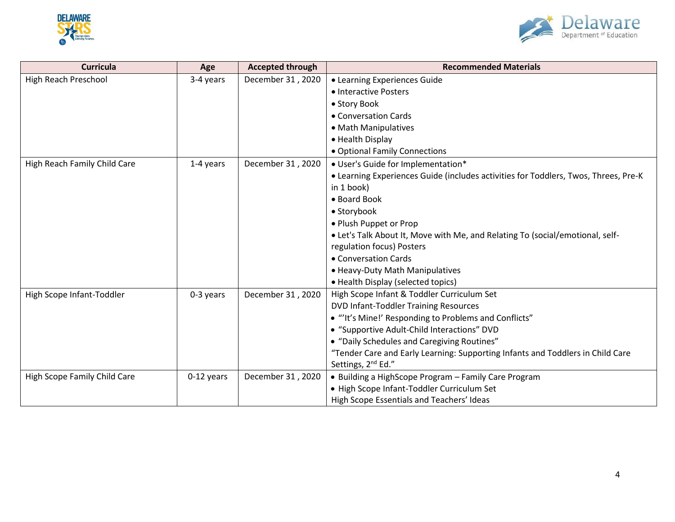



| <b>Curricula</b>             | Age        | <b>Accepted through</b> | <b>Recommended Materials</b>                                                        |
|------------------------------|------------|-------------------------|-------------------------------------------------------------------------------------|
| High Reach Preschool         | 3-4 years  | December 31, 2020       | • Learning Experiences Guide                                                        |
|                              |            |                         | • Interactive Posters                                                               |
|                              |            |                         | • Story Book                                                                        |
|                              |            |                         | • Conversation Cards                                                                |
|                              |            |                         | • Math Manipulatives                                                                |
|                              |            |                         | • Health Display                                                                    |
|                              |            |                         | • Optional Family Connections                                                       |
| High Reach Family Child Care | 1-4 years  | December 31, 2020       | • User's Guide for Implementation*                                                  |
|                              |            |                         | • Learning Experiences Guide (includes activities for Toddlers, Twos, Threes, Pre-K |
|                              |            |                         | in 1 book)                                                                          |
|                              |            |                         | • Board Book                                                                        |
|                              |            |                         | • Storybook                                                                         |
|                              |            |                         | • Plush Puppet or Prop                                                              |
|                              |            |                         | . Let's Talk About It, Move with Me, and Relating To (social/emotional, self-       |
|                              |            |                         | regulation focus) Posters                                                           |
|                              |            |                         | • Conversation Cards                                                                |
|                              |            |                         | • Heavy-Duty Math Manipulatives                                                     |
|                              |            |                         | • Health Display (selected topics)                                                  |
| High Scope Infant-Toddler    | 0-3 years  | December 31, 2020       | High Scope Infant & Toddler Curriculum Set                                          |
|                              |            |                         | <b>DVD Infant-Toddler Training Resources</b>                                        |
|                              |            |                         | • "'It's Mine!' Responding to Problems and Conflicts"                               |
|                              |            |                         | • "Supportive Adult-Child Interactions" DVD                                         |
|                              |            |                         | • "Daily Schedules and Caregiving Routines"                                         |
|                              |            |                         | "Tender Care and Early Learning: Supporting Infants and Toddlers in Child Care      |
|                              |            |                         | Settings, 2 <sup>nd</sup> Ed."                                                      |
| High Scope Family Child Care | 0-12 years | December 31, 2020       | • Building a HighScope Program - Family Care Program                                |
|                              |            |                         | · High Scope Infant-Toddler Curriculum Set                                          |
|                              |            |                         | High Scope Essentials and Teachers' Ideas                                           |